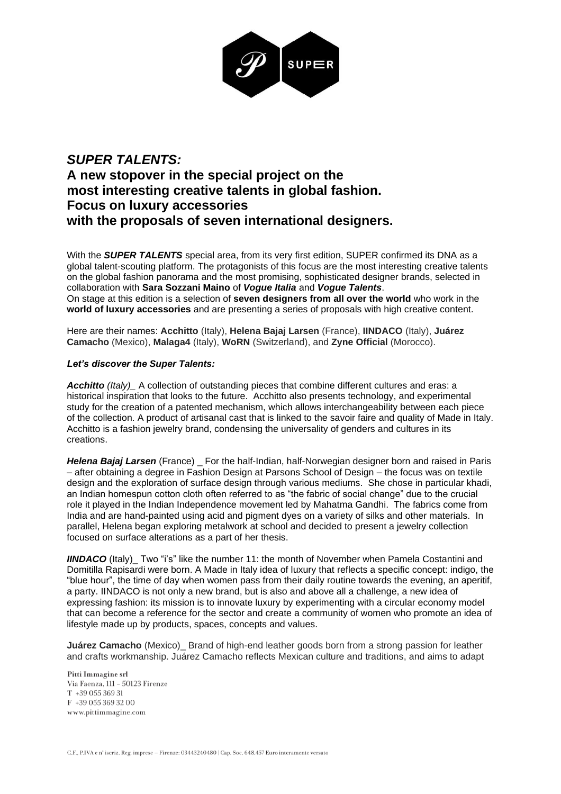

## *SUPER TALENTS:* **A new stopover in the special project on the most interesting creative talents in global fashion. Focus on luxury accessories with the proposals of seven international designers.**

With the *SUPER TALENTS* special area, from its very first edition, SUPER confirmed its DNA as a global talent-scouting platform. The protagonists of this focus are the most interesting creative talents on the global fashion panorama and the most promising, sophisticated designer brands, selected in collaboration with **Sara Sozzani Maino** of *Vogue Italia* and *Vogue Talents*. On stage at this edition is a selection of **seven designers from all over the world** who work in the **world of luxury accessories** and are presenting a series of proposals with high creative content.

Here are their names: **Acchitto** (Italy), **Helena Bajaj Larsen** (France), **IINDACO** (Italy), **Juárez Camacho** (Mexico), **Malaga4** (Italy), **WoRN** (Switzerland), and **Zyne Official** (Morocco).

## *Let's discover the Super Talents:*

Acchitto (Italy)\_ A collection of outstanding pieces that combine different cultures and eras: a historical inspiration that looks to the future. Acchitto also presents technology, and experimental study for the creation of a patented mechanism, which allows interchangeability between each piece of the collection. A product of artisanal cast that is linked to the savoir faire and quality of Made in Italy. Acchitto is a fashion jewelry brand, condensing the universality of genders and cultures in its creations.

**Helena Bajaj Larsen** (France) For the half-Indian, half-Norwegian designer born and raised in Paris – after obtaining a degree in Fashion Design at Parsons School of Design – the focus was on textile design and the exploration of surface design through various mediums. She chose in particular khadi, an Indian homespun cotton cloth often referred to as "the fabric of social change" due to the crucial role it played in the Indian Independence movement led by Mahatma Gandhi. The fabrics come from India and are hand-painted using acid and pigment dyes on a variety of silks and other materials. In parallel, Helena began exploring metalwork at school and decided to present a jewelry collection focused on surface alterations as a part of her thesis.

**IINDACO** (Italy)\_ Two "i's" like the number 11: the month of November when Pamela Costantini and Domitilla Rapisardi were born. A Made in Italy idea of luxury that reflects a specific concept: indigo, the "blue hour", the time of day when women pass from their daily routine towards the evening, an aperitif, a party. IINDACO is not only a new brand, but is also and above all a challenge, a new idea of expressing fashion: its mission is to innovate luxury by experimenting with a circular economy model that can become a reference for the sector and create a community of women who promote an idea of lifestyle made up by products, spaces, concepts and values.

**Juárez Camacho** (Mexico)\_ Brand of high-end leather goods born from a strong passion for leather and crafts workmanship. Juárez Camacho reflects Mexican culture and traditions, and aims to adapt

Pitti Immagine srl Via Faenza, 111 - 50123 Firenze T +39 055 369 31  $F +390553693200$ <br>www.pittimmagine.com